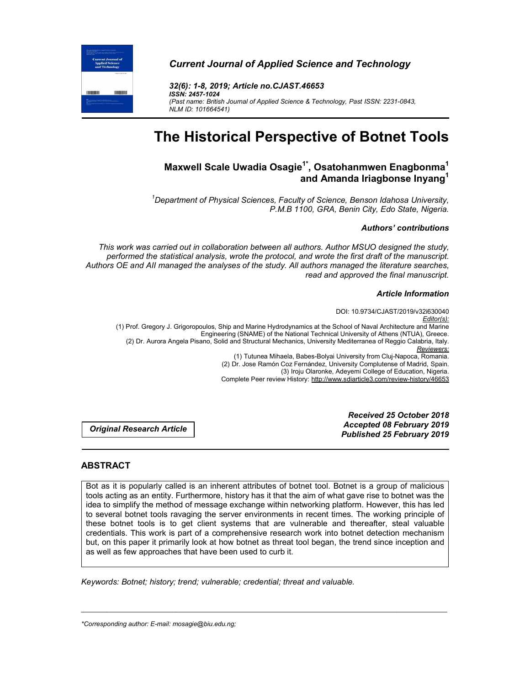

# *Current Journal of Applied Science and Technology*

*32(6): 1-8, 2019; Article no.CJAST.46653 ISSN: 2457-1024 (Past name: British Journal of Applied Science & Technology, Past ISSN: 2231-0843, NLM ID: 101664541)*

# **The Historical Perspective of Botnet Tools**

# **Maxwell Scale Uwadia Osagie1\* , Osatohanmwen Enagbonma1 and Amanda Iriagbonse Inyang1**

*1 Department of Physical Sciences, Faculty of Science, Benson Idahosa University, P.M.B 1100, GRA, Benin City, Edo State, Nigeria.*

#### *Authors' contributions*

*This work was carried out in collaboration between all authors. Author MSUO designed the study, performed the statistical analysis, wrote the protocol, and wrote the first draft of the manuscript. Authors OE and AII managed the analyses of the study. All authors managed the literature searches, read and approved the final manuscript.*

#### *Article Information*

DOI: 10.9734/CJAST/2019/v32i630040 *Editor(s):* (1) Prof. Gregory J. Grigoropoulos, Ship and Marine Hydrodynamics at the School of Naval Architecture and Marine Engineering (SNAME) of the National Technical University of Athens (NTUA), Greece. (2) Dr. Aurora Angela Pisano, Solid and Structural Mechanics, University Mediterranea of Reggio Calabria, Italy. *Reviewers:* (1) Tutunea Mihaela, Babes-Bolyai University from Cluj-Napoca, Romania. (2) Dr. Jose Ramón Coz Fernández, University Complutense of Madrid, Spain. (3) Iroju Olaronke, Adeyemi College of Education, Nigeria. Complete Peer review History: http://www.sdiarticle3.com/review-history/46653

*Original Research Article*

*Received 25 October 2018 Accepted 08 February 2019 Published 25 February 2019*

## **ABSTRACT**

Bot as it is popularly called is an inherent attributes of botnet tool. Botnet is a group of malicious tools acting as an entity. Furthermore, history has it that the aim of what gave rise to botnet was the idea to simplify the method of message exchange within networking platform. However, this has led to several botnet tools ravaging the server environments in recent times. The working principle of these botnet tools is to get client systems that are vulnerable and thereafter, steal valuable credentials. This work is part of a comprehensive research work into botnet detection mechanism but, on this paper it primarily look at how botnet as threat tool began, the trend since inception and as well as few approaches that have been used to curb it.

\_\_\_\_\_\_\_\_\_\_\_\_\_\_\_\_\_\_\_\_\_\_\_\_\_\_\_\_\_\_\_\_\_\_\_\_\_\_\_\_\_\_\_\_\_\_\_\_\_\_\_\_\_\_\_\_\_\_\_\_\_\_\_\_\_\_\_\_\_\_\_\_\_\_\_\_\_\_\_\_\_\_\_\_\_\_\_\_\_\_\_\_\_\_\_\_\_\_\_\_\_

*Keywords: Botnet; history; trend; vulnerable; credential; threat and valuable.*

*\*Corresponding author: E-mail: mosagie@biu.edu.ng;*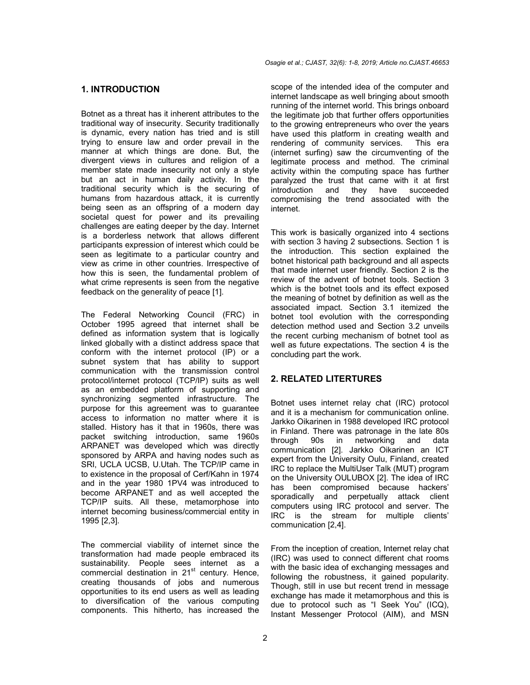# **1. INTRODUCTION**

Botnet as a threat has it inherent attributes to the traditional way of insecurity. Security traditionally is dynamic, every nation has tried and is still trying to ensure law and order prevail in the manner at which things are done. But, the divergent views in cultures and religion of a member state made insecurity not only a style but an act in human daily activity. In the traditional security which is the securing of humans from hazardous attack, it is currently being seen as an offspring of a modern day societal quest for power and its prevailing challenges are eating deeper by the day. Internet is a borderless network that allows different participants expression of interest which could be seen as legitimate to a particular country and view as crime in other countries. Irrespective of how this is seen, the fundamental problem of what crime represents is seen from the negative feedback on the generality of peace [1].

The Federal Networking Council (FRC) in October 1995 agreed that internet shall be defined as information system that is logically linked globally with a distinct address space that conform with the internet protocol (IP) or a subnet system that has ability to support communication with the transmission control protocol/internet protocol (TCP/IP) suits as well as an embedded platform of supporting and synchronizing segmented infrastructure. The purpose for this agreement was to guarantee access to information no matter where it is stalled. History has it that in 1960s, there was packet switching introduction, same 1960s ARPANET was developed which was directly sponsored by ARPA and having nodes such as SRI, UCLA UCSB, U.Utah. The TCP/IP came in to existence in the proposal of Cerf/Kahn in 1974 and in the year 1980 1PV4 was introduced to become ARPANET and as well accepted the TCP/IP suits. All these, metamorphose into internet becoming business/commercial entity in 1995 [2,3].

The commercial viability of internet since the transformation had made people embraced its sustainability. People sees internet as a commercial destination in 21<sup>st</sup> century. Hence, creating thousands of jobs and numerous opportunities to its end users as well as leading to diversification of the various computing components. This hitherto, has increased the

scope of the intended idea of the computer and internet landscape as well bringing about smooth running of the internet world. This brings onboard the legitimate job that further offers opportunities to the growing entrepreneurs who over the years have used this platform in creating wealth and rendering of community services. This era (internet surfing) saw the circumventing of the legitimate process and method. The criminal activity within the computing space has further paralyzed the trust that came with it at first introduction and they have succeeded compromising the trend associated with the internet.

This work is basically organized into 4 sections with section 3 having 2 subsections. Section 1 is the introduction. This section explained the botnet historical path background and all aspects that made internet user friendly. Section 2 is the review of the advent of botnet tools. Section 3 which is the botnet tools and its effect exposed the meaning of botnet by definition as well as the associated impact. Section 3.1 itemized the botnet tool evolution with the corresponding detection method used and Section 3.2 unveils the recent curbing mechanism of botnet tool as well as future expectations. The section 4 is the concluding part the work.

### **2. RELATED LITERTURES**

Botnet uses internet relay chat (IRC) protocol and it is a mechanism for communication online. Jarkko Oikarinen in 1988 developed IRC protocol in Finland. There was patronage in the late 80s through 90s in networking and data communication [2]. Jarkko Oikarinen an ICT expert from the University Oulu, Finland, created IRC to replace the MultiUser Talk (MUT) program on the University OULUBOX [2]. The idea of IRC has been compromised because hackers' sporadically and perpetually attack client computers using IRC protocol and server. The IRC is the stream for multiple clients' communication [2,4].

From the inception of creation, Internet relay chat (IRC) was used to connect different chat rooms with the basic idea of exchanging messages and following the robustness, it gained popularity. Though, still in use but recent trend in message exchange has made it metamorphous and this is due to protocol such as "I Seek You" (ICQ), Instant Messenger Protocol (AIM), and MSN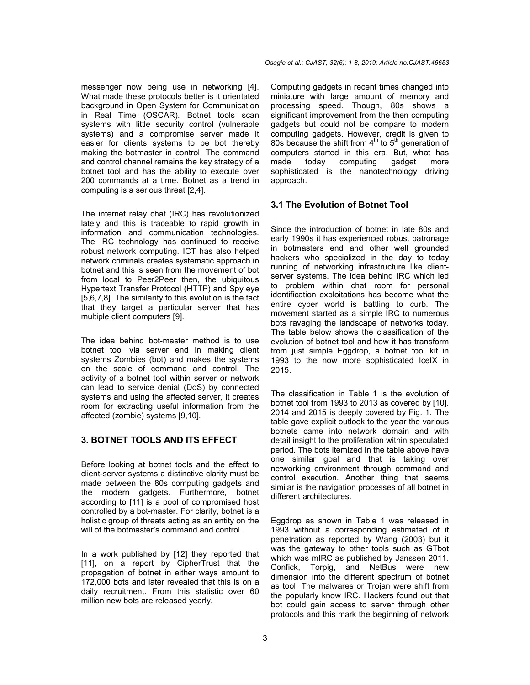messenger now being use in networking [4]. What made these protocols better is it orientated background in Open System for Communication in Real Time (OSCAR). Botnet tools scan systems with little security control (vulnerable systems) and a compromise server made it easier for clients systems to be bot thereby making the botmaster in control. The command and control channel remains the key strategy of a botnet tool and has the ability to execute over 200 commands at a time. Botnet as a trend in computing is a serious threat [2,4].

The internet relay chat (IRC) has revolutionized lately and this is traceable to rapid growth in information and communication technologies. The IRC technology has continued to receive robust network computing. ICT has also helped network criminals creates systematic approach in botnet and this is seen from the movement of bot from local to Peer2Peer then, the ubiquitous Hypertext Transfer Protocol (HTTP) and Spy eye [5,6,7,8]. The similarity to this evolution is the fact that they target a particular server that has multiple client computers [9]*.*

The idea behind bot-master method is to use botnet tool via server end in making client systems Zombies (bot) and makes the systems on the scale of command and control. The activity of a botnet tool within server or network can lead to service denial (DoS) by connected systems and using the affected server, it creates room for extracting useful information from the affected (zombie) systems [9,10]*.*

# **3. BOTNET TOOLS AND ITS EFFECT**

Before looking at botnet tools and the effect to client-server systems a distinctive clarity must be made between the 80s computing gadgets and the modern gadgets. Furthermore, botnet according to [11] is a pool of compromised host controlled by a bot-master. For clarity, botnet is a holistic group of threats acting as an entity on the will of the botmaster's command and control.

In a work published by [12] they reported that [11], on a report by CipherTrust that the propagation of botnet in either ways amount to 172,000 bots and later revealed that this is on a daily recruitment. From this statistic over 60 million new bots are released yearly.

Computing gadgets in recent times changed into miniature with large amount of memory and processing speed. Though, 80s shows a significant improvement from the then computing gadgets but could not be compare to modern computing gadgets. However, credit is given to 80s because the shift from  $4<sup>th</sup>$  to  $5<sup>th</sup>$  generation of computers started in this era. But, what has made today computing gadget more sophisticated is the nanotechnology driving approach.

# **3.1 The Evolution of Botnet Tool**

Since the introduction of botnet in late 80s and early 1990s it has experienced robust patronage in botmasters end and other well grounded hackers who specialized in the day to today running of networking infrastructure like clientserver systems. The idea behind IRC which led to problem within chat room for personal identification exploitations has become what the entire cyber world is battling to curb. The movement started as a simple IRC to numerous bots ravaging the landscape of networks today. The table below shows the classification of the evolution of botnet tool and how it has transform from just simple Eggdrop, a botnet tool kit in 1993 to the now more sophisticated IceIX in 2015.

The classification in Table 1 is the evolution of botnet tool from 1993 to 2013 as covered by [10]. 2014 and 2015 is deeply covered by Fig. 1. The table gave explicit outlook to the year the various botnets came into network domain and with detail insight to the proliferation within speculated period. The bots itemized in the table above have one similar goal and that is taking over networking environment through command and control execution. Another thing that seems similar is the navigation processes of all botnet in different architectures.

Eggdrop as shown in Table 1 was released in 1993 without a corresponding estimated of it penetration as reported by Wang (2003) but it was the gateway to other tools such as GTbot which was mIRC as published by Janssen 2011. Confick, Torpig, and NetBus were new dimension into the different spectrum of botnet as tool. The malwares or Trojan were shift from the popularly know IRC. Hackers found out that bot could gain access to server through other protocols and this mark the beginning of network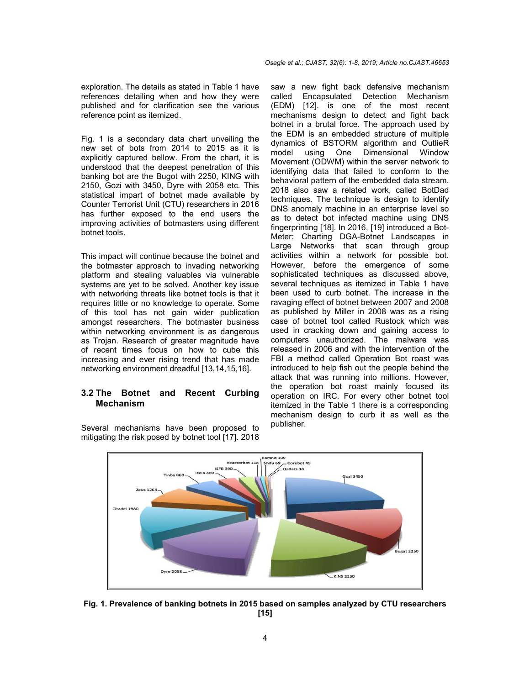exploration. The details as stated in Table 1 have references detailing when and how they were published and for clarification see the various reference point as itemized.

Fig. 1 is a secondary data chart unveiling the new set of bots from 2014 to 2015 as it is explicitly captured bellow. From the chart, it is understood that the deepest penetration of this banking bot are the Bugot with 2250, KING with 2150, Gozi with 3450, Dyre with 2058 etc. This statistical impart of botnet made available by Counter Terrorist Unit (CTU) researchers in 2016 has further exposed to the end users the improving activities of botmasters using different botnet tools.

This impact will continue because the botnet and the botmaster approach to invading networking platform and stealing valuables via vulnerable systems are yet to be solved. Another key issue with networking threats like botnet tools is that it requires little or no knowledge to operate. Some of this tool has not gain wider publication amongst researchers. The botmaster business within networking environment is as dangerous as Trojan. Research of greater magnitude have of recent times focus on how to cube this increasing and ever rising trend that has made networking environment dreadful [13,14,15,16].

## **3.2 The Botnet and Recent Curbing Mechanism**

Several mechanisms have been proposed to mitigating the risk posed by botnet tool [17]. 2018 saw a new fight back defensive mechanism called Encapsulated Detection Mechanism (EDM) [12]. is one of the most recent mechanisms design to detect and fight back botnet in a brutal force. The approach used by the EDM is an embedded structure of multiple dynamics of BSTORM algorithm and OutlieR model using One Dimensional Window Movement (ODWM) within the server network to identifying data that failed to conform to the behavioral pattern of the embedded data stream. 2018 also saw a related work, called BotDad techniques. The technique is design to identify DNS anomaly machine in an enterprise level so as to detect bot infected machine using DNS fingerprinting [18]. In 2016, [19] introduced a Bot-Meter: Charting DGA-Botnet Landscapes in Large Networks that scan through group activities within a network for possible bot. However, before the emergence of some sophisticated techniques as discussed above, several techniques as itemized in Table 1 have been used to curb botnet. The increase in the ravaging effect of botnet between 2007 and 2008 as published by Miller in 2008 was as a rising case of botnet tool called Rustock which was used in cracking down and gaining access to computers unauthorized. The malware was released in 2006 and with the intervention of the FBI a method called Operation Bot roast was introduced to help fish out the people behind the attack that was running into millions. However, the operation bot roast mainly focused its operation on IRC. For every other botnet tool itemized in the Table 1 there is a corresponding mechanism design to curb it as well as the publisher.



**Fig. 1. Prevalence of banking botnets in 2015 based on samples analyzed by CTU researchers [15]**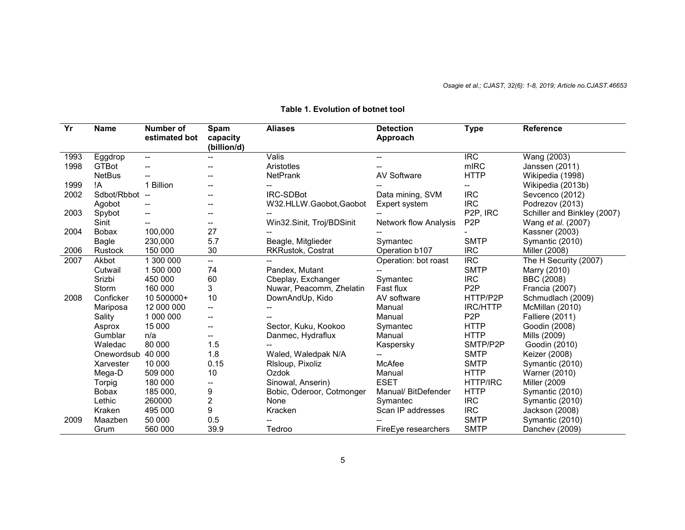| $\overline{Yr}$ | <b>Name</b>   | Number of     | Spam                    | <b>Aliases</b>            | <b>Detection</b>      | <b>Type</b>           | Reference                   |
|-----------------|---------------|---------------|-------------------------|---------------------------|-----------------------|-----------------------|-----------------------------|
|                 |               | estimated bot | capacity<br>(billion/d) |                           | Approach              |                       |                             |
| 1993            | Eggdrop       | --            |                         | Valis                     | --                    | <b>IRC</b>            | Wang (2003)                 |
| 1998            | <b>GTBot</b>  |               |                         | Aristotles                |                       | mIRC                  | Janssen (2011)              |
|                 | <b>NetBus</b> |               |                         | NetPrank                  | <b>AV Software</b>    | <b>HTTP</b>           | Wikipedia (1998)            |
| 1999            | !Α            | 1 Billion     |                         |                           |                       |                       | Wikipedia (2013b)           |
| 2002            | Sdbot/Rbbot   | $-$           |                         | <b>IRC-SDBot</b>          | Data mining, SVM      | <b>IRC</b>            | Sevcenco (2012)             |
|                 | Agobot        |               |                         | W32.HLLW.Gaobot,Gaobot    | Expert system         | <b>IRC</b>            | Podrezov (2013)             |
| 2003            | Spybot        |               | --                      |                           |                       | P <sub>2P</sub> , IRC | Schiller and Binkley (2007) |
|                 | Sinit         |               | --                      | Win32.Sinit, Troj/BDSinit | Network flow Analysis | P <sub>2</sub> P      | Wang et al. (2007)          |
| 2004            | <b>Bobax</b>  | 100,000       | 27                      |                           |                       |                       | Kassner (2003)              |
|                 | Bagle         | 230,000       | 5.7                     | Beagle, Mitglieder        | Symantec              | <b>SMTP</b>           | Symantic (2010)             |
| 2006            | Rustock       | 150 000       | 30                      | RKRustok, Costrat         | Operation b107        | <b>IRC</b>            | Miller (2008)               |
| 2007            | Akbot         | 1 300 000     | --                      |                           | Operation: bot roast  | <b>IRC</b>            | The H Security (2007)       |
|                 | Cutwail       | 1 500 000     | 74                      | Pandex, Mutant            |                       | <b>SMTP</b>           | Marry (2010)                |
|                 | Srizbi        | 450 000       | 60                      | Cbeplay, Exchanger        | Symantec              | <b>IRC</b>            | BBC (2008)                  |
|                 | Storm         | 160 000       | 3                       | Nuwar, Peacomm, Zhelatin  | Fast flux             | P <sub>2</sub> P      | Francia (2007)              |
| 2008            | Conficker     | 10 500000+    | 10                      | DownAndUp, Kido           | AV software           | HTTP/P2P              | Schmudlach (2009)           |
|                 | Mariposa      | 12 000 000    | --                      |                           | Manual                | <b>IRC/HTTP</b>       | McMillan (2010)             |
|                 | Sality        | 1 000 000     | --                      |                           | Manual                | P <sub>2</sub> P      | <b>Falliere (2011)</b>      |
|                 | Asprox        | 15 000        |                         | Sector, Kuku, Kookoo      | Symantec              | <b>HTTP</b>           | Goodin (2008)               |
|                 | Gumblar       | n/a           |                         | Danmec, Hydraflux         | Manual                | <b>HTTP</b>           | Mills (2009)                |
|                 | Waledac       | 80 000        | 1.5                     |                           | Kaspersky             | SMTP/P2P              | Goodin (2010)               |
|                 | Onewordsub    | 40 000        | 1.8                     | Waled, Waledpak N/A       |                       | <b>SMTP</b>           | Keizer (2008)               |
|                 | Xarvester     | 10 000        | 0.15                    | RIsloup, Pixoliz          | McAfee                | <b>SMTP</b>           | Symantic (2010)             |
|                 | Mega-D        | 509 000       | 10                      | Ozdok                     | Manual                | <b>HTTP</b>           | Warner (2010)               |
|                 | Torpig        | 180 000       | --                      | Sinowal, Anserin)         | <b>ESET</b>           | HTTP/IRC              | Miller (2009                |
|                 | <b>Bobax</b>  | 185 000,      | 9                       | Bobic, Oderoor, Cotmonger | Manual/ BitDefender   | <b>HTTP</b>           | Symantic (2010)             |
|                 | Lethic        | 260000        | 2                       | None                      | Symantec              | <b>IRC</b>            | Symantic (2010)             |
|                 | Kraken        | 495 000       | 9                       | Kracken                   | Scan IP addresses     | <b>IRC</b>            | Jackson (2008)              |
| 2009            | Maazben       | 50 000        | 0.5                     |                           |                       | <b>SMTP</b>           | Symantic (2010)             |
|                 | Grum          | 560 000       | 39.9                    | Tedroo                    | FireEye researchers   | <b>SMTP</b>           | Danchev (2009)              |

# **Table 1. Evolution of botnet tool**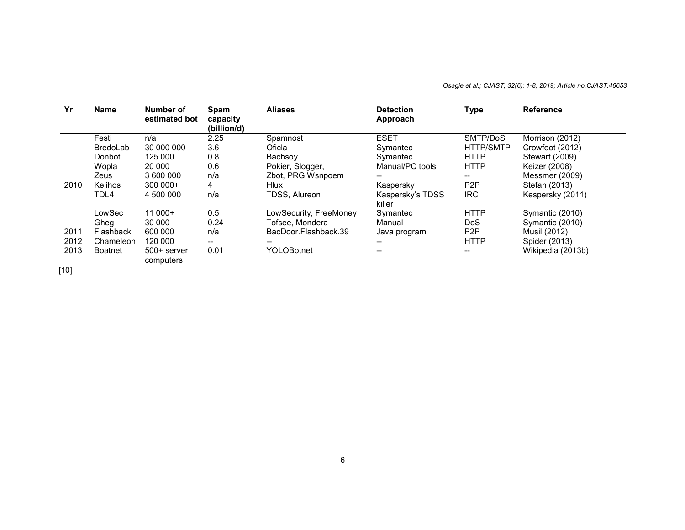*Osagie et al.; CJAST, 32(6): 1-8, 2019; Article no.CJAST.46653*

| Yr   | <b>Name</b>    | Number of<br>estimated bot | Spam<br>capacity<br>(billion/d) | <b>Aliases</b>         | <b>Detection</b><br>Approach | <b>Type</b>      | <b>Reference</b>  |
|------|----------------|----------------------------|---------------------------------|------------------------|------------------------------|------------------|-------------------|
|      | Festi          | n/a                        | 2.25                            | Spamnost               | <b>ESET</b>                  | SMTP/DoS         | Morrison (2012)   |
|      | BredoLab       | 30 000 000                 | 3.6                             | Oficla                 | Symantec                     | <b>HTTP/SMTP</b> | Crowfoot (2012)   |
|      | Donbot         | 125 000                    | 0.8                             | Bachsov                | Symantec                     | <b>HTTP</b>      | Stewart (2009)    |
|      | Wopla          | 20 000                     | 0.6                             | Pokier, Slogger,       | Manual/PC tools              | <b>HTTP</b>      | Keizer (2008)     |
|      | Zeus           | 3 600 000                  | n/a                             | Zbot, PRG, Wsnpoem     | --                           | --               | Messmer (2009)    |
| 2010 | Kelihos        | $300000+$                  | 4                               | <b>Hlux</b>            | Kaspersky                    | P <sub>2</sub> P | Stefan (2013)     |
|      | TDL4           | 4 500 000                  | n/a                             | <b>TDSS. Alureon</b>   | Kaspersky's TDSS<br>killer   | <b>IRC</b>       | Kespersky (2011)  |
|      | LowSec         | $11000+$                   | 0.5                             | LowSecurity, FreeMoney | Symantec                     | <b>HTTP</b>      | Symantic (2010)   |
|      | Gheg           | 30 000                     | 0.24                            | Tofsee, Mondera        | Manual                       | DoS.             | Symantic (2010)   |
| 2011 | Flashback      | 600 000                    | n/a                             | BacDoor.Flashback.39   | Java program                 | P <sub>2</sub> P | Musil (2012)      |
| 2012 | Chameleon      | 120 000                    | --                              | --                     | --                           | <b>HTTP</b>      | Spider (2013)     |
| 2013 | <b>Boatnet</b> | $500+$ server<br>computers | 0.01                            | <b>YOLOBotnet</b>      | --                           | $- -$            | Wikipedia (2013b) |

 $[10]$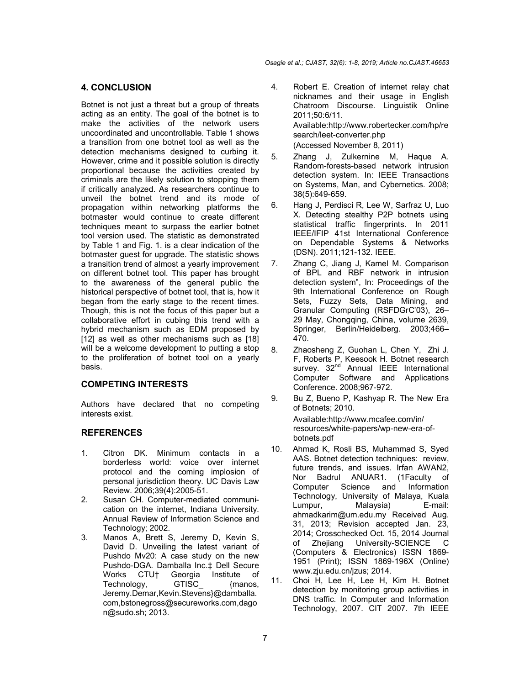# **4. CONCLUSION**

Botnet is not just a threat but a group of threats acting as an entity. The goal of the botnet is to make the activities of the network users uncoordinated and uncontrollable. Table 1 shows a transition from one botnet tool as well as the detection mechanisms designed to curbing it. However, crime and it possible solution is directly proportional because the activities created by criminals are the likely solution to stopping them if critically analyzed. As researchers continue to unveil the botnet trend and its mode of propagation within networking platforms the botmaster would continue to create different techniques meant to surpass the earlier botnet tool version used. The statistic as demonstrated by Table 1 and Fig. 1. is a clear indication of the botmaster guest for upgrade. The statistic shows a transition trend of almost a yearly improvement on different botnet tool. This paper has brought to the awareness of the general public the historical perspective of botnet tool, that is, how it began from the early stage to the recent times. Though, this is not the focus of this paper but a collaborative effort in cubing this trend with a hybrid mechanism such as EDM proposed by [12] as well as other mechanisms such as [18] will be a welcome development to putting a stop to the proliferation of botnet tool on a yearly basis.

## **COMPETING INTERESTS**

Authors have declared that no competing interests exist.

# **REFERENCES**

- 1. Citron DK. Minimum contacts in a borderless world: voice over internet protocol and the coming implosion of personal jurisdiction theory. UC Davis Law Review. 2006;39(4):2005-51.
- 2. Susan CH. Computer-mediated communication on the internet, Indiana University. Annual Review of Information Science and Technology; 2002.
- 3. Manos A, Brett S, Jeremy D, Kevin S, David D. Unveiling the latest variant of Pushdo Mv20: A case study on the new Pushdo-DGA. Damballa Inc.‡ Dell Secure Works CTU† Georgia Institute of Technology, GTISC\_ {manos, Jeremy.Demar,Kevin.Stevens}@damballa. com,bstonegross@secureworks.com,dago n@sudo.sh; 2013.
- 4. Robert E. Creation of internet relay chat nicknames and their usage in English Chatroom Discourse. Linguistik Online 2011;50:6/11. Available:http://www.robertecker.com/hp/re search/leet-converter.php (Accessed November 8, 2011)
- 5. Zhang J, Zulkernine M, Haque A. Random-forests-based network intrusion detection system. In: IEEE Transactions on Systems, Man, and Cybernetics. 2008; 38(5):649-659.
- 6. Hang J, Perdisci R, Lee W, Sarfraz U, Luo X. Detecting stealthy P2P botnets using statistical traffic fingerprints. In 2011 IEEE/IFIP 41st International Conference on Dependable Systems & Networks (DSN). 2011;121-132. IEEE.
- 7. Zhang C, Jiang J, Kamel M. Comparison of BPL and RBF network in intrusion detection system", In: Proceedings of the 9th International Conference on Rough Sets, Fuzzy Sets, Data Mining, and Granular Computing (RSFDGrC'03), 26– 29 May, Chongqing, China, volume 2639, Springer, Berlin/Heidelberg. 2003;466– 470.
- 8. Zhaosheng Z, Guohan L, Chen Y, Zhi J. F, Roberts P, Keesook H. Botnet research survey.  $32<sup>nd</sup>$  Annual IEEE International Computer Software and Applications Conference. 2008;967-972.
- 9. Bu Z, Bueno P, Kashyap R. The New Era of Botnets; 2010. Available:http://www.mcafee.com/in/ resources/white-papers/wp-new-era-ofbotnets.pdf
- 10. Ahmad K, Rosli BS, Muhammad S, Syed AAS. Botnet detection techniques: review, future trends, and issues. Irfan AWAN2, Nor Badrul ANUAR1. Computer Science and Information Technology, University of Malaya, Kuala Lumpur, Malaysia) E-mail: ahmadkarim@um.edu.my Received Aug. 31, 2013; Revision accepted Jan. 23, 2014; Crosschecked Oct. 15, 2014 Journal of Zhejiang University-SCIENCE C (Computers & Electronics) ISSN 1869- 1951 (Print); ISSN 1869-196X (Online) www.zju.edu.cn/jzus; 2014.
- 11. Choi H, Lee H, Lee H, Kim H. Botnet detection by monitoring group activities in DNS traffic. In Computer and Information Technology, 2007. CIT 2007. 7th IEEE